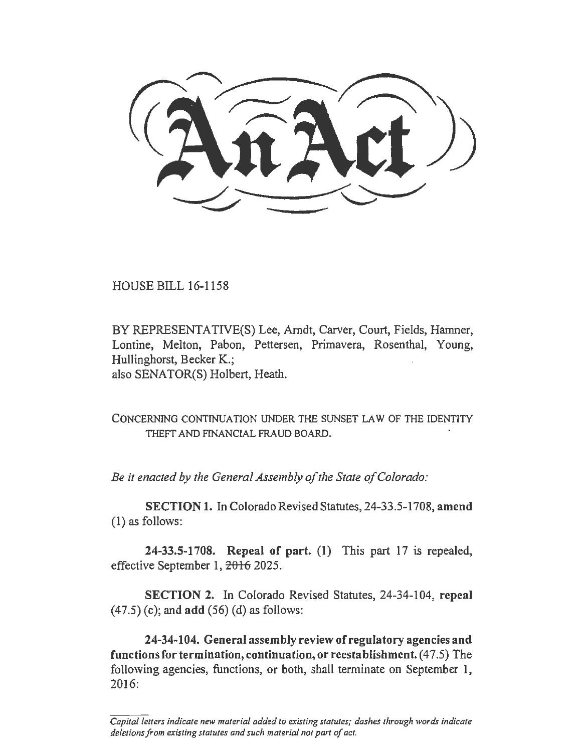HOUSE BILL 16-1158

BY REPRESENTATIVE(S) Lee, Arndt, Carver, Court, Fields, Hamner, Lontine, Melton, Pabon, Pettersen, Primavera, Rosenthal, Young, Hullinghorst, Becker K.; also SENATOR(S) Holbert, Heath.

CONCERNING CONTTNUA TION UNDER THE SUNSET LAW OF THE IDENTITY THEFT AND FINANCIAL FRAUD BOARD.

*Be it enacted by the General Assembly of the State of Colorado:* 

SECTION 1. In Colorado Revised Statutes, 24-33.5-1708, amend (1) as follows:

24-33.5-1708. Repeal of part. (1) This part 17 is repealed, effective September 1, 2016 2025.

SECTION 2. In Colorado Revised Statutes, 24-34-104, repeal (47.5) (c); and add (56) (d) as follows:

24-34-104. General assembly review of regulatory agencies and functions for termination, continuation, or reestablishment. (47.5) The following agencies, functions, or both, shall terminate on September 1, 2016:

*Capital letters indicate new material added to existing statutes; dashes through words indicate deletions from existing statutes and such material nor part of act.*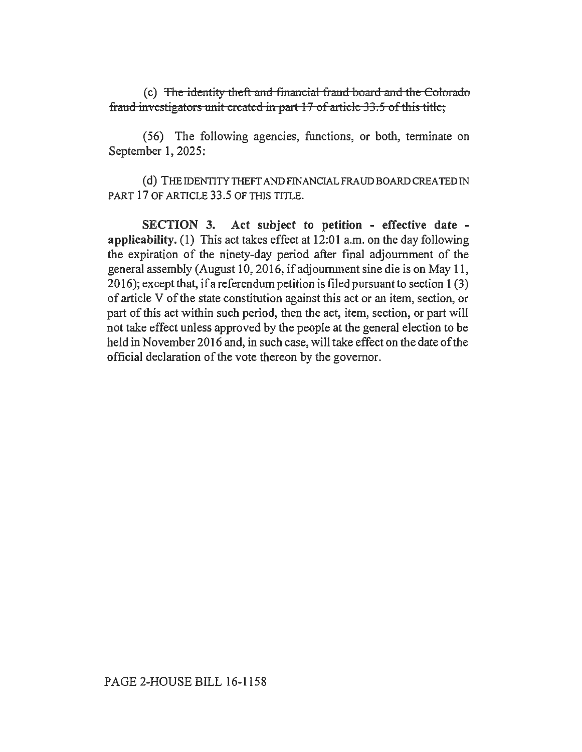(c) The identity theft and financial fraud boaxd and the Colorado fraud investigators unit created in part  $17$  of article  $33.5$  of this title;

(56) The following agencies, functions, or both, terminate on September 1, 2025:

(d) THE IDENTITY TIIEFT AND FINANCIAL FRAUD BOARD CREATED IN PART 17 OF ARTICLE 33.5 OF THIS TITLE.

SECTION 3. Act subject to petition - effective date applicability. (I) This act takes effect at 12:01 a.m. on the day following the expiration of the ninety-day period after fmal adjournment of the general assembly (August 10,2016, if adjournment sine die is on May 11, 20 16); except that, if a referendum petition is filed pursuant to section 1 (3) of article V of the state constitution against this act or an item, section, or part of this act within such period, then the act, item, section, or part will not take effect unless approved by the people at the general election to be held in November 2016 and, in such case, will take effect on the date of the official declaration of the vote thereon by the governor.